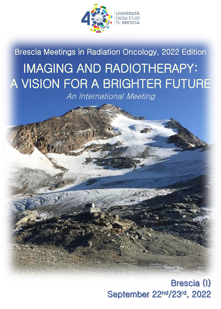

Brescia Meetings in Radiation Oncology, 2022 Edition IMAGING AND RADIOTHERAPY: A VISION FOR A BRIGHTER FUTURE

An International Meeting

# Brescia (I) September 22nd/23rd, 2022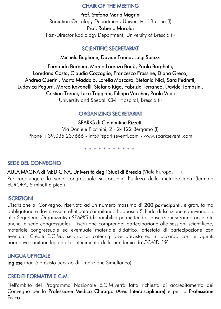#### CHAIR OF THE MEETING

Prof. Stefano Maria Magrini Radiation Oncology Department, University of Brescia (I) Prof. Roberto Maroldi Past-Director Radiology Department, University of Brescia (I)

# SCIENTIFIC SECRETARIAT

Michela Buglione, Davide Farina, Luigi Spiazzi

Fernando Barbera, Marco Lorenzo Bonù, Paolo Borghetti, Loredana Costa, Claudia Cozzaglio, Francesco Frassine, Diana Greco, Andrea Guerini, Marta Maddalo, Lorella Mascaro, Stefania Nici, Sara Pedretti, Ludovica Pegurri, Marco Ravanelli, Stefano Riga, Fabrizia Terraneo, Davide Tomasini, Cristian Toraci, Luca Triggiani, Filippo Vaccher, Paola Vitali

University and Spedali Civili Hospital, Brescia (I)

# ORGANIZING SECRETARIAT

SPARKS di Clementina Rizzetti

Via Daniele Piccinini, 2 - 24122 Bergamo (I) Phone +39.035.237666 - info@sparkseventi.com - www.sparkseventi.com

\* \* \* \* \* \* \* \* \* \*

# SEDE DEL CONVEGNO

AULA MAGNA di MEDICINA, Università degli Studi di Brescia (Viale Europa, 11).

Per raggiungere la sede congressuale si consiglia l'utilizzo della metropolitana (fermata EUROPA, 5 minuti a piedi).

### **ISCRIZIONI**

L'iscrizione al Convegno, riservata ad un numero massimo di 200 partecipanti, è gratuita ma obbligatoria e dovrà essere effettuata compilando l'apposita Scheda di Iscrizione ed inviandola alla Segreteria Organizzativa *SPARKS* (disponibilità permettendo, le iscrizioni saranno accettate anche in sede congressuale). L'iscrizione comprende: partecipazione alle sessioni scientifiche, materiale congressuale ed eventuale materiale didattico, attestato di partecipazione con eventuali Crediti E.C.M., servizio di catering (ove previsto ed in accordo con le vigenti normative sanitarie legate al contenimento della pandemia da COVID-19).

### LINGUA UFFICIALE

Inglese (non è previsto Servizio di Traduzione Simultanea).

# CREDITI FORMATIVI E.C.M.

Nell'ambito del Programma Nazionale E.C.M.verrà fatta richiesta di accreditamento del Convegno per la Professione Medico Chirurgo (Area Interdisciplinare) e per la Professione Fisico.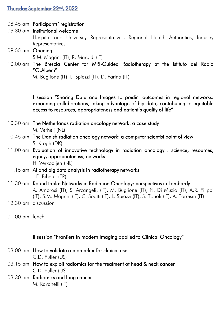#### <u>Thursday September 22<sup>nd</sup>, 2022</u>

- 08.45 am Participants' registration
- 09.30 am Institutional welcome Hospital and University Representatives, Regional Health Authorities, Industry **Representatives**
- 09.55 am Opening S.M. Magrini (IT), R. Maroldi (IT)
- 10.00 am The Brescia Center for MRI-Guided Radiotherapy at the Istituto del Radio  $"$ O. Alberti $"$

M. Buglione (IT), L. Spiazzi (IT), D. Farina (IT)

I session "Sharing Data and Images to predict outcomes in regional networks: expanding collaborations, taking advantage of big data, contributing to equitable access to resources, appropriateness and patient's quality of life"

- 10.30 am The Netherlands radiation oncology network: a case study M. Verheij (NL)
- 10.45 am The Danish radiation oncology network: a computer scientist point of view S. Krogh (DK)
- 11.00 am Evaluation of innovative technology in radiation oncology : science, resources, equity, appropriateness, networks H. Verkooijen (NL)
- 11.15 am AI and big data analysis in radiotherapy networks J.E. Bibault (FR)
- 11.30 am Round table: Networks in Radiation Oncology: perspectives in Lombardy A. Amorosi (IT), S. Arcangeli, (IT), M. Buglione (IT), N. Di Muzio (IT), A.R. Filippi (IT), S.M. Magrini (IT), C. Soatti (IT), L. Spiazzi (IT), S. Tonoli (IT), A. Torresin (IT)
- 12.30 pm discussion
- 01.00 pm lunch

#### II session "Frontiers in modern Imaging applied to Clinical Oncology"

- 03.00 pm How to validate a biomarker for clinical use C.D. Fuller (US)
- 03.15 pm How to exploit radiomics for the treatment of head & neck cancer C.D. Fuller (US)
- 03.30 pm Radiomics and lung cancer M. Ravanelli (IT)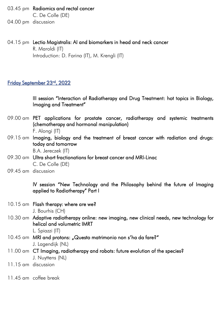- 03.45 pm Radiomics and rectal cancer C. De Colle (DE)
- 04.00 pm discussion
- 04.15 pm Lectio Magistralis: AI and biomarkers in head and neck cancer R. Maroldi (IT) Introduction: D. Farina (IT), M. Krengli (IT)

### Friday September 23rd , 2022

III session "Interaction of Radiotherapy and Drug Treatment: hot topics in Biology, Imaging and Treatment"

- 09.00 am PET applications for prostate cancer, radiotherapy and systemic treatments (chemotherapy and hormonal manipulation) F. Alongi (IT)
- 09.15 am Imaging, biology and the treatment of breast cancer with radiation and drugs: today and tomorrow

B.A. Jereczek (IT)

- 09.30 am Ultra short fractionations for breast cancer and MRI-Linac C. De Colle (DE)
- 09.45 am discussion

IV session "New Technology and the Philosophy behind the future of Imaging applied to Radiotherapy" Part I

- 10.15 am Flash therapy: where are we? J. Bourhis (CH)
- 10.30 am Adaptive radiotherapy online: new imaging, new clinical needs, new technology for helical and volumetric IMRT

L. Spiazzi (IT)

- 10.45 am MRI and protons: "Questo matrimonio non s'ha da fare?" J. Lagendijk (NL)
- 11.00 am CT Imaging, radiotherapy and robots: future evolution of the species? J. Nuyttens (NL)
- 11.15 am discussion
- 11.45 am coffee break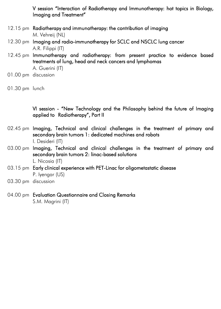V session "Interaction of Radiotherapy and Immunotherapy: hot topics in Biology, Imaging and Treatment"

- 12.15 pm Radiotherapy and immunotherapy: the contribution of imaging M. Vehreij (NL)
- 12.30 pm Imaging and radio-immunotherapy for SCLC and NSCLC lung cancer A.R. Filippi (IT)
- 12.45 pm Immunotherapy and radiotherapy: from present practice to evidence based treatments of lung, head and neck cancers and lymphomas

A. Guerini (IT)

01.00 pm discussion

VI session - "New Technology and the Philosophy behind the future of Imaging applied to Radiotherapy", Part II

- 02.45 pm Imaging, Technical and clinical challenges in the treatment of primary and secondary brain tumors 1: dedicated machines and robots I. Desideri (IT)
- 03.00 pm Imaging, Technical and clinical challenges in the treatment of primary and secondary brain tumors 2: linac-based solutions L. Nicosia (IT)
- 03.15 pm Early clinical experience with PET-Linac for oligometastatic disease P. Iyengar (US)
- 03.30 pm discussion
- 04.00 pm Evaluation Questionnaire and Closing Remarks S.M. Magrini (IT)

<sup>01.30</sup> pm lunch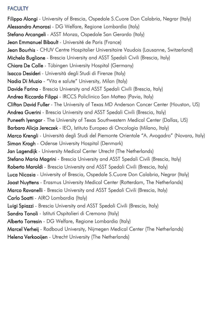# **FACULTY**

Filippo Alongi - University of Brescia, Ospedale S.Cuore Don Calabria, Negrar (Italy) Alessandro Amorosi - DG Welfare, Regione Lombardia (Italy) Stefano Arcangeli - ASST Monza, Ospedale San Gerardo (Italy) Jean Emmanuel Bibault - Université de Paris (France) Jean Bourhis - CHUV Centre Hospitalier Universitaire Vaudois (Lausanne, Switzerland) Michela Buglione - Brescia University and ASST Spedali Civili (Brescia, Italy) Chiara De Colle - Tübingen University Hospital (Germany) Isacco Desideri - Università degli Studi di Firenze (Italy) Nadia Di Muzio - "Vita e salute" University, Milan (Italy) Davide Farina - Brescia University and ASST Spedali Civili (Brescia, Italy) Andrea Riccardo Filippi - IRCCS Policlinico San Matteo (Pavia, Italy) Clifton David Fuller - The University of Texas MD Anderson Cancer Center (Houston, US) Andrea Guerini - Brescia University and ASST Spedali Civili (Brescia, Italy) Puneeth Iyengar - The University of Texas Southwestern Medical Center (Dallas, US) Barbara Alicja Jereczek - IEO, Istituto Europeo di Oncologia (Milano, Italy) Marco Krengli - Università degli Studi del Piemonte Orientale "A. Avogadro" (Novara, Italy) Simon Krogh - Odense University Hospital (Denmark) Jan Lagendijk - University Medical Center Utrecht (The Netherlands) Stefano Maria Magrini - Brescia University and ASST Spedali Civili (Brescia, Italy) Roberto Maroldi - Brescia University and ASST Spedali Civili (Brescia, Italy) Luca Nicosia - University of Brescia, Ospedale S.Cuore Don Calabria, Negrar (Italy) Joost Nuyttens - Erasmus University Medical Center (Rotterdam, The Netherlands) Marco Ravanelli - Brescia University and ASST Spedali Civili (Brescia, Italy) Carlo Soatti - AIRO Lombardia (Italy) Luigi Spiazzi - Brescia University and ASST Spedali Civili (Brescia, Italy) Sandro Tonoli - Istituti Ospitalieri di Cremona (Italy) Alberto Torresin - DG Welfare, Regione Lombardia (Italy) Marcel Verheij - Radboud University, Nijmegen Medical Center (The Netherlands) Helena Verkooiien - Utrecht University (The Netherlands)